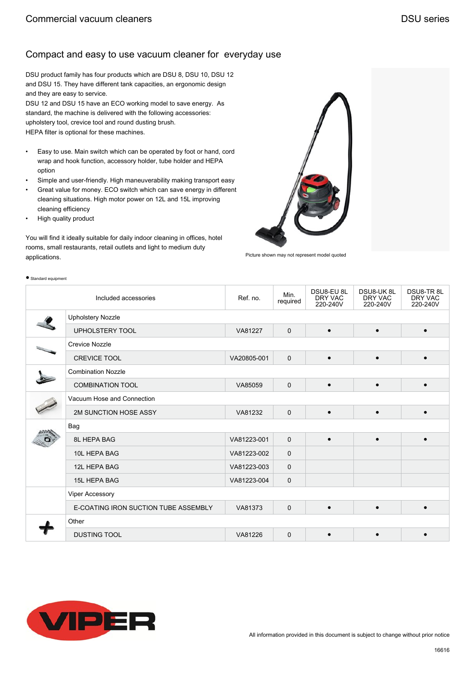DSU product family has four products which are DSU 8, DSU 10, DSU 12 and DSU 15. They have different tank capacities, an ergonomic design and they are easy to service.

DSU 12 and DSU 15 have an ECO working model to save energy. As standard, the machine is delivered with the following accessories: upholstery tool, crevice tool and round dusting brush. HEPA filter is optional for these machines.

- Easy to use. Main switch which can be operated by foot or hand, cord wrap and hook function, accessory holder, tube holder and HEPA option
- Simple and user-friendly. High maneuverability making transport easy
- Great value for money. ECO switch which can save energy in different cleaning situations. High motor power on 12L and 15L improving cleaning efficiency
- High quality product

● Standard equipment

You will find it ideally suitable for daily indoor cleaning in offices, hotel rooms, small restaurants, retail outlets and light to medium duty applications.



Picture shown may not represent model quoted

| ommana oquipmont |                                      |             |                  |                                   |                                  |                                  |  |  |  |
|------------------|--------------------------------------|-------------|------------------|-----------------------------------|----------------------------------|----------------------------------|--|--|--|
|                  | Included accessories                 | Ref. no.    | Min.<br>required | DSU8-EU 8L<br>DRY VAC<br>220-240V | DSU8-UK8L<br>DRY VAC<br>220-240V | DSU8-TR8L<br>DRY VAC<br>220-240V |  |  |  |
|                  | <b>Upholstery Nozzle</b>             |             |                  |                                   |                                  |                                  |  |  |  |
|                  | <b>UPHOLSTERY TOOL</b>               | VA81227     | $\mathbf 0$      | $\bullet$                         | $\bullet$                        | $\bullet$                        |  |  |  |
|                  | <b>Crevice Nozzle</b>                |             |                  |                                   |                                  |                                  |  |  |  |
|                  | <b>CREVICE TOOL</b>                  | VA20805-001 | $\mathbf 0$      | $\bullet$                         | $\bullet$                        | $\bullet$                        |  |  |  |
|                  | <b>Combination Nozzle</b>            |             |                  |                                   |                                  |                                  |  |  |  |
|                  | <b>COMBINATION TOOL</b>              | VA85059     | $\mathbf 0$      | $\bullet$                         | $\bullet$                        | $\bullet$                        |  |  |  |
|                  | Vacuum Hose and Connection           |             |                  |                                   |                                  |                                  |  |  |  |
|                  | 2M SUNCTION HOSE ASSY                | VA81232     | 0                | $\bullet$                         | $\bullet$                        | $\bullet$                        |  |  |  |
|                  | Bag                                  |             |                  |                                   |                                  |                                  |  |  |  |
|                  | <b>8L HEPA BAG</b>                   | VA81223-001 | $\mathbf 0$      | $\bullet$                         | $\bullet$                        | $\bullet$                        |  |  |  |
|                  | 10L HEPA BAG                         | VA81223-002 | $\mathbf 0$      |                                   |                                  |                                  |  |  |  |
|                  | 12L HEPA BAG                         | VA81223-003 | $\mathbf 0$      |                                   |                                  |                                  |  |  |  |
|                  | <b>15L HEPA BAG</b>                  | VA81223-004 | $\mathbf 0$      |                                   |                                  |                                  |  |  |  |
|                  | <b>Viper Accessory</b>               |             |                  |                                   |                                  |                                  |  |  |  |
|                  | E-COATING IRON SUCTION TUBE ASSEMBLY | VA81373     | 0                | $\bullet$                         | $\bullet$                        | $\bullet$                        |  |  |  |
|                  | Other                                |             |                  |                                   |                                  |                                  |  |  |  |
|                  | <b>DUSTING TOOL</b>                  | VA81226     | $\mathbf 0$      |                                   |                                  |                                  |  |  |  |

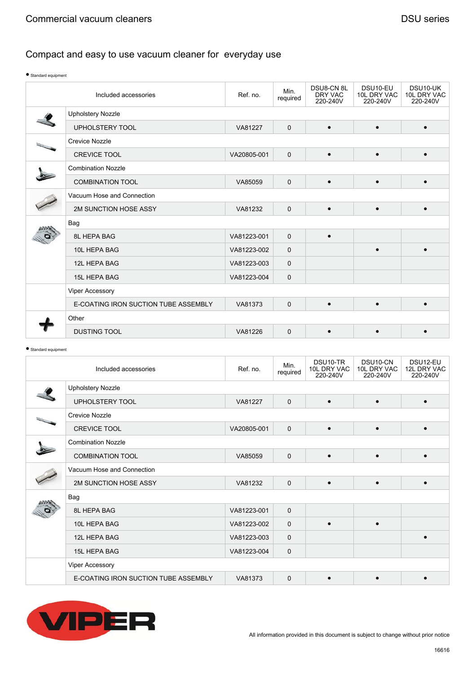| Standard equipment |                                      |             |                  |                                  |                                     |                                     |  |  |  |
|--------------------|--------------------------------------|-------------|------------------|----------------------------------|-------------------------------------|-------------------------------------|--|--|--|
|                    | Included accessories                 | Ref. no.    | Min.<br>required | DSU8-CN8L<br>DRY VAC<br>220-240V | DSU10-EU<br>10L DRY VAC<br>220-240V | DSU10-UK<br>10L DRY VAC<br>220-240V |  |  |  |
|                    | <b>Upholstery Nozzle</b>             |             |                  |                                  |                                     |                                     |  |  |  |
|                    | <b>UPHOLSTERY TOOL</b>               | VA81227     | $\mathbf{0}$     | $\bullet$                        | $\bullet$                           |                                     |  |  |  |
|                    | <b>Crevice Nozzle</b>                |             |                  |                                  |                                     |                                     |  |  |  |
|                    | <b>CREVICE TOOL</b>                  | VA20805-001 | $\mathbf 0$      | $\bullet$                        | $\bullet$                           | $\bullet$                           |  |  |  |
|                    | <b>Combination Nozzle</b>            |             |                  |                                  |                                     |                                     |  |  |  |
|                    | <b>COMBINATION TOOL</b>              | VA85059     | $\mathbf{0}$     | $\bullet$                        | $\bullet$                           |                                     |  |  |  |
|                    | Vacuum Hose and Connection           |             |                  |                                  |                                     |                                     |  |  |  |
|                    | 2M SUNCTION HOSE ASSY                | VA81232     | $\mathbf 0$      | $\bullet$                        | $\bullet$                           | $\bullet$                           |  |  |  |
|                    | Bag                                  |             |                  |                                  |                                     |                                     |  |  |  |
|                    | <b>8L HEPA BAG</b>                   | VA81223-001 | $\mathbf 0$      | $\bullet$                        |                                     |                                     |  |  |  |
|                    | 10L HEPA BAG                         | VA81223-002 | $\mathbf 0$      |                                  |                                     |                                     |  |  |  |
|                    | 12L HEPA BAG                         | VA81223-003 | 0                |                                  |                                     |                                     |  |  |  |
|                    | <b>15L HEPA BAG</b>                  | VA81223-004 | $\mathbf 0$      |                                  |                                     |                                     |  |  |  |
|                    | Viper Accessory                      |             |                  |                                  |                                     |                                     |  |  |  |
|                    | E-COATING IRON SUCTION TUBE ASSEMBLY | VA81373     | $\mathbf{0}$     | $\bullet$                        |                                     |                                     |  |  |  |
|                    | Other                                |             |                  |                                  |                                     |                                     |  |  |  |
|                    | <b>DUSTING TOOL</b>                  | VA81226     | $\mathbf 0$      | $\bullet$                        | $\bullet$                           |                                     |  |  |  |

<sup>●</sup> Standard equipment

| Included accessories |                                      | Ref. no.    | Min.<br>required | DSU <sub>10</sub> -TR<br>10L DRY VAC<br>220-240V | DSU <sub>10</sub> -CN<br>10L DRY VAC<br>220-240V | DSU12-EU<br>12L DRY VAC<br>220-240V |
|----------------------|--------------------------------------|-------------|------------------|--------------------------------------------------|--------------------------------------------------|-------------------------------------|
|                      | <b>Upholstery Nozzle</b>             |             |                  |                                                  |                                                  |                                     |
|                      | <b>UPHOLSTERY TOOL</b>               | VA81227     | $\mathbf 0$      | $\bullet$                                        | $\bullet$                                        | $\bullet$                           |
|                      | <b>Crevice Nozzle</b>                |             |                  |                                                  |                                                  |                                     |
|                      | <b>CREVICE TOOL</b>                  | VA20805-001 | $\mathbf 0$      | $\bullet$                                        | $\bullet$                                        | $\bullet$                           |
|                      | <b>Combination Nozzle</b>            |             |                  |                                                  |                                                  |                                     |
|                      | <b>COMBINATION TOOL</b>              | VA85059     | $\mathbf 0$      | $\bullet$                                        | $\bullet$                                        | $\bullet$                           |
|                      | Vacuum Hose and Connection           |             |                  |                                                  |                                                  |                                     |
|                      | 2M SUNCTION HOSE ASSY                | VA81232     | $\mathbf 0$      | $\bullet$                                        | $\bullet$                                        |                                     |
|                      | Bag                                  |             |                  |                                                  |                                                  |                                     |
|                      | <b>8L HEPA BAG</b>                   | VA81223-001 | $\mathbf{0}$     |                                                  |                                                  |                                     |
|                      | 10L HEPA BAG                         | VA81223-002 | $\mathbf 0$      | $\bullet$                                        | $\bullet$                                        |                                     |
|                      | 12L HEPA BAG                         | VA81223-003 | $\mathbf 0$      |                                                  |                                                  | $\bullet$                           |
|                      | <b>15L HEPA BAG</b>                  | VA81223-004 | $\mathbf 0$      |                                                  |                                                  |                                     |
|                      | <b>Viper Accessory</b>               |             |                  |                                                  |                                                  |                                     |
|                      | E-COATING IRON SUCTION TUBE ASSEMBLY | VA81373     | $\mathbf 0$      | $\bullet$                                        | $\bullet$                                        |                                     |

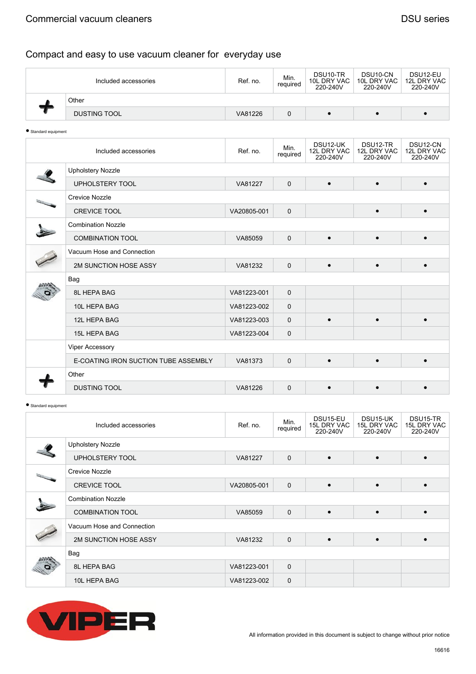| Included accessories |                     | Ref. no. | Min.<br>required | DSU <sub>10</sub> -TR<br>10L DRY VAC<br>220-240V | DSU <sub>10</sub> -CN<br>10L DRY VAC<br>220-240V | DSU12-EU<br>12L DRY VAC<br>220-240V |
|----------------------|---------------------|----------|------------------|--------------------------------------------------|--------------------------------------------------|-------------------------------------|
|                      | Other               |          |                  |                                                  |                                                  |                                     |
|                      | <b>DUSTING TOOL</b> | VA81226  |                  |                                                  |                                                  |                                     |

<sup>●</sup> Standard equipment

| Included accessories                 | Ref. no.    | Min.<br>required | DSU12-UK<br>12L DRY VAC<br>220-240V | DSU <sub>12</sub> -TR<br>12L DRY VAC<br>220-240V | DSU12-CN<br>12L DRY VAC<br>220-240V |  |  |  |
|--------------------------------------|-------------|------------------|-------------------------------------|--------------------------------------------------|-------------------------------------|--|--|--|
| <b>Upholstery Nozzle</b>             |             |                  |                                     |                                                  |                                     |  |  |  |
| <b>UPHOLSTERY TOOL</b>               | VA81227     | $\mathbf 0$      | $\bullet$                           | $\bullet$                                        | $\bullet$                           |  |  |  |
| <b>Crevice Nozzle</b>                |             |                  |                                     |                                                  |                                     |  |  |  |
| <b>CREVICE TOOL</b>                  | VA20805-001 | $\mathbf 0$      |                                     |                                                  | $\bullet$                           |  |  |  |
| <b>Combination Nozzle</b>            |             |                  |                                     |                                                  |                                     |  |  |  |
| <b>COMBINATION TOOL</b>              | VA85059     | $\mathbf 0$      | ٠                                   |                                                  |                                     |  |  |  |
| Vacuum Hose and Connection           |             |                  |                                     |                                                  |                                     |  |  |  |
| 2M SUNCTION HOSE ASSY                | VA81232     | $\mathbf 0$      | $\bullet$                           | $\bullet$                                        | $\bullet$                           |  |  |  |
| Bag                                  |             |                  |                                     |                                                  |                                     |  |  |  |
| 8L HEPA BAG                          | VA81223-001 | $\mathbf 0$      |                                     |                                                  |                                     |  |  |  |
| 10L HEPA BAG                         | VA81223-002 | $\mathbf 0$      |                                     |                                                  |                                     |  |  |  |
| 12L HEPA BAG                         | VA81223-003 | $\mathbf 0$      | $\epsilon$                          |                                                  | $\bullet$                           |  |  |  |
| <b>15L HEPA BAG</b>                  | VA81223-004 | $\mathbf 0$      |                                     |                                                  |                                     |  |  |  |
| <b>Viper Accessory</b>               |             |                  |                                     |                                                  |                                     |  |  |  |
| E-COATING IRON SUCTION TUBE ASSEMBLY | VA81373     | $\mathbf 0$      | $\bullet$                           | $\bullet$                                        | $\bullet$                           |  |  |  |
| Other                                |             |                  |                                     |                                                  |                                     |  |  |  |
| <b>DUSTING TOOL</b>                  | VA81226     | $\mathbf 0$      | $\bullet$                           |                                                  | $\bullet$                           |  |  |  |

● Standard equipment

| Included accessories       | Ref. no.    | Min.<br>required | DSU15-EU<br>15L DRY VAC<br>220-240V | DSU15-UK<br>15L DRY VAC<br>220-240V | DSU15-TR<br>15L DRY VAC<br>220-240V |  |  |  |
|----------------------------|-------------|------------------|-------------------------------------|-------------------------------------|-------------------------------------|--|--|--|
| <b>Upholstery Nozzle</b>   |             |                  |                                     |                                     |                                     |  |  |  |
| UPHOLSTERY TOOL            | VA81227     | $\mathbf 0$      | $\bullet$                           | $\bullet$                           | $\bullet$                           |  |  |  |
| Crevice Nozzle             |             |                  |                                     |                                     |                                     |  |  |  |
| <b>CREVICE TOOL</b>        | VA20805-001 | $\mathbf 0$      | $\bullet$                           |                                     |                                     |  |  |  |
| <b>Combination Nozzle</b>  |             |                  |                                     |                                     |                                     |  |  |  |
| <b>COMBINATION TOOL</b>    | VA85059     | $\mathbf 0$      | $\bullet$                           | $\bullet$                           |                                     |  |  |  |
| Vacuum Hose and Connection |             |                  |                                     |                                     |                                     |  |  |  |
| 2M SUNCTION HOSE ASSY      | VA81232     | $\mathbf 0$      |                                     |                                     |                                     |  |  |  |
| Bag                        |             |                  |                                     |                                     |                                     |  |  |  |
| 8L HEPA BAG                | VA81223-001 | $\mathbf 0$      |                                     |                                     |                                     |  |  |  |
| 10L HEPA BAG               | VA81223-002 | $\mathbf 0$      |                                     |                                     |                                     |  |  |  |

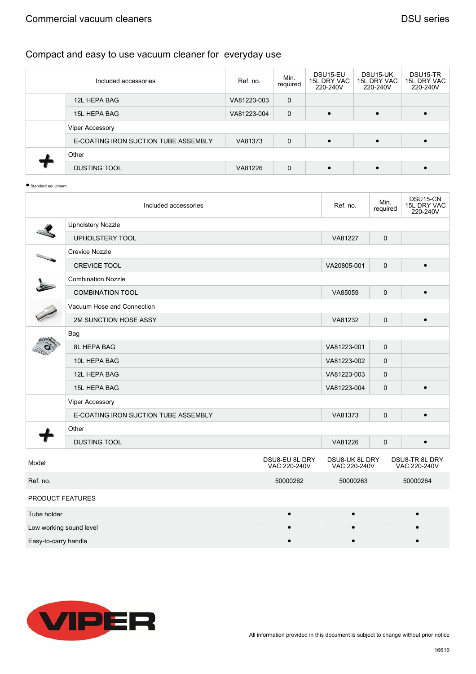#### Commercial vacuum cleaners **DSU** series

| Included accessories                 | Ref. no.    | Min.<br>required | DSU <sub>15-EU</sub><br>15L DRY VAC<br>220-240V | DSU15-UK<br>15L DRY VAC<br>220-240V | DSU <sub>15</sub> -TR<br>15L DRY VAC<br>220-240V |
|--------------------------------------|-------------|------------------|-------------------------------------------------|-------------------------------------|--------------------------------------------------|
| 12L HEPA BAG                         | VA81223-003 | $\mathbf 0$      |                                                 |                                     |                                                  |
| 15L HEPA BAG                         | VA81223-004 | 0                | $\bullet$                                       | $\bullet$                           |                                                  |
| <b>Viper Accessory</b>               |             |                  |                                                 |                                     |                                                  |
| E-COATING IRON SUCTION TUBE ASSEMBLY | VA81373     | $\mathbf 0$      |                                                 |                                     |                                                  |
| Other                                |             |                  |                                                 |                                     |                                                  |
| <b>DUSTING TOOL</b>                  | VA81226     | $\mathbf 0$      | $\bullet$                                       | $\bullet$                           |                                                  |

```
● Standard equipment
```

|                         | Included accessories                 |                                | Ref. no.                       | Min.<br>required | DSU15-CN<br>15L DRY VAC<br>220-240V |
|-------------------------|--------------------------------------|--------------------------------|--------------------------------|------------------|-------------------------------------|
|                         | <b>Upholstery Nozzle</b>             |                                |                                |                  |                                     |
|                         | UPHOLSTERY TOOL                      |                                | VA81227                        | $\pmb{0}$        |                                     |
|                         | <b>Crevice Nozzle</b>                |                                |                                |                  |                                     |
|                         | <b>CREVICE TOOL</b>                  |                                | VA20805-001                    | $\mathbf 0$      | $\bullet$                           |
|                         | <b>Combination Nozzle</b>            |                                |                                |                  |                                     |
|                         | <b>COMBINATION TOOL</b>              |                                | VA85059                        | $\mathbf 0$      | $\bullet$                           |
|                         | Vacuum Hose and Connection           |                                |                                |                  |                                     |
|                         | 2M SUNCTION HOSE ASSY                |                                | VA81232                        | $\Omega$         | $\bullet$                           |
|                         | Bag                                  |                                |                                |                  |                                     |
|                         | 8L HEPA BAG                          |                                | VA81223-001                    | $\mathbf 0$      |                                     |
|                         | 10L HEPA BAG                         |                                | VA81223-002                    | $\mathbf 0$      |                                     |
|                         | 12L HEPA BAG                         |                                | VA81223-003                    | 0                |                                     |
|                         | 15L HEPA BAG                         |                                | VA81223-004                    | $\mathbf 0$      | $\bullet$                           |
|                         | Viper Accessory                      |                                |                                |                  |                                     |
|                         | E-COATING IRON SUCTION TUBE ASSEMBLY |                                | VA81373                        | $\mathbf 0$      | $\bullet$                           |
|                         | Other                                |                                |                                |                  |                                     |
|                         | <b>DUSTING TOOL</b>                  |                                | VA81226                        | $\mathbf 0$      | $\bullet$                           |
| Model                   |                                      | DSU8-EU 8L DRY<br>VAC 220-240V | DSU8-UK 8L DRY<br>VAC 220-240V |                  | DSU8-TR 8L DRY<br>VAC 220-240V      |
| Ref. no.                |                                      | 50000262                       | 50000263                       |                  | 50000264                            |
| PRODUCT FEATURES        |                                      |                                |                                |                  |                                     |
| Tube holder             |                                      |                                |                                |                  |                                     |
| Low working sound level |                                      |                                |                                |                  |                                     |
| Easy-to-carry handle    |                                      |                                |                                |                  |                                     |

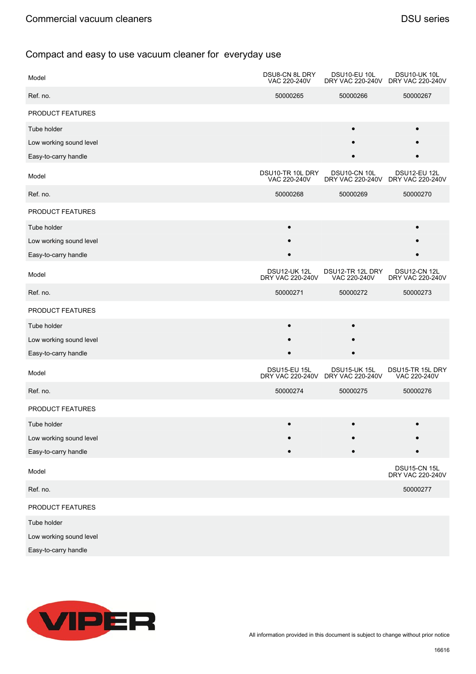| Model                   | DSU8-CN 8L DRY<br>VAC 220-240V   | DSU10-EU 10L                                      | DSU10-UK 10L<br>DRY VAC 220-240V DRY VAC 220-240V |
|-------------------------|----------------------------------|---------------------------------------------------|---------------------------------------------------|
| Ref. no.                | 50000265                         | 50000266                                          | 50000267                                          |
| PRODUCT FEATURES        |                                  |                                                   |                                                   |
| Tube holder             |                                  | $\bullet$                                         | $\bullet$                                         |
| Low working sound level |                                  |                                                   |                                                   |
| Easy-to-carry handle    |                                  |                                                   |                                                   |
| Model                   | DSU10-TR 10L DRY<br>VAC 220-240V | DSU10-CN 10L<br>DRY VAC 220-240V                  | <b>DSU12-EU 12L</b><br>DRY VAC 220-240V           |
| Ref. no.                | 50000268                         | 50000269                                          | 50000270                                          |
| PRODUCT FEATURES        |                                  |                                                   |                                                   |
| Tube holder             |                                  |                                                   |                                                   |
| Low working sound level |                                  |                                                   |                                                   |
| Easy-to-carry handle    |                                  |                                                   |                                                   |
| Model                   | DSU12-UK 12L<br>DRY VAC 220-240V | DSU12-TR 12L DRY<br>VAC 220-240V                  | DSU12-CN 12L<br>DRY VAC 220-240V                  |
| Ref. no.                | 50000271                         | 50000272                                          | 50000273                                          |
| PRODUCT FEATURES        |                                  |                                                   |                                                   |
| Tube holder             | $\bullet$                        |                                                   |                                                   |
| Low working sound level |                                  |                                                   |                                                   |
| Easy-to-carry handle    |                                  |                                                   |                                                   |
| Model                   | <b>DSU15-EU 15L</b>              | DSU15-UK 15L<br>DRY VAC 220-240V DRY VAC 220-240V | DSU15-TR 15L DRY<br>VAC 220-240V                  |
| Ref. no.                | 50000274                         | 50000275                                          | 50000276                                          |
| PRODUCT FEATURES        |                                  |                                                   |                                                   |
| Tube holder             |                                  |                                                   |                                                   |
| Low working sound level |                                  |                                                   |                                                   |
| Easy-to-carry handle    |                                  |                                                   |                                                   |
| Model                   |                                  |                                                   | DSU15-CN 15L<br>DRY VAC 220-240V                  |
| Ref. no.                |                                  |                                                   | 50000277                                          |
| PRODUCT FEATURES        |                                  |                                                   |                                                   |
| Tube holder             |                                  |                                                   |                                                   |
| Low working sound level |                                  |                                                   |                                                   |
| Easy-to-carry handle    |                                  |                                                   |                                                   |

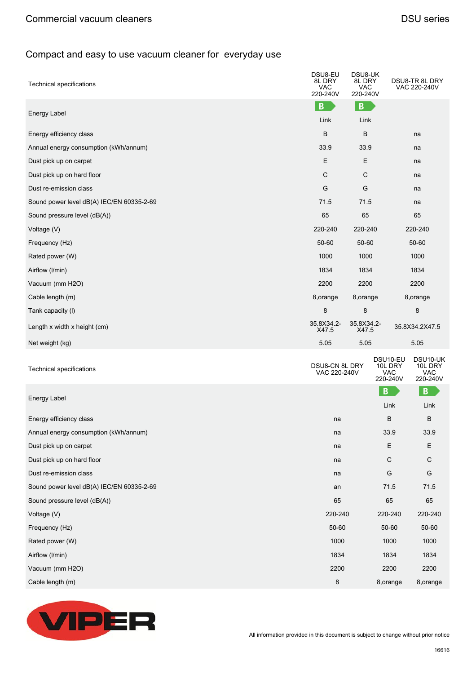| <b>Technical specifications</b>           | DSU8-EU<br>8L DRY<br>VAC.<br>220-240V | DSU8-UK<br>8L DRY<br><b>VAC</b><br>220-240V |                                               | DSU8-TR 8L DRY<br>VAC 220-240V                |
|-------------------------------------------|---------------------------------------|---------------------------------------------|-----------------------------------------------|-----------------------------------------------|
| Energy Label                              | B                                     | B                                           |                                               |                                               |
|                                           | Link                                  | Link                                        |                                               |                                               |
| Energy efficiency class                   | B                                     | B                                           |                                               | na                                            |
| Annual energy consumption (kWh/annum)     | 33.9                                  | 33.9                                        |                                               | na                                            |
| Dust pick up on carpet                    | E                                     | Е                                           |                                               | na                                            |
| Dust pick up on hard floor                | $\mathsf{C}$                          | $\mathsf C$                                 |                                               | na                                            |
| Dust re-emission class                    | G                                     | G                                           |                                               | na                                            |
| Sound power level dB(A) IEC/EN 60335-2-69 | 71.5                                  | 71.5                                        |                                               | na                                            |
| Sound pressure level (dB(A))              | 65                                    | 65                                          |                                               | 65                                            |
| Voltage (V)                               | 220-240                               | 220-240                                     |                                               | 220-240                                       |
| Frequency (Hz)                            | 50-60                                 | 50-60                                       |                                               | 50-60                                         |
| Rated power (W)                           | 1000                                  | 1000                                        |                                               | 1000                                          |
| Airflow (I/min)                           | 1834                                  | 1834                                        |                                               | 1834                                          |
| Vacuum (mm H2O)                           | 2200                                  | 2200                                        |                                               | 2200                                          |
| Cable length (m)                          | 8, orange<br>8, orange                |                                             |                                               | 8,orange                                      |
| Tank capacity (I)                         | 8                                     | 8                                           |                                               | 8                                             |
| Length x width x height (cm)              | 35.8X34.2-<br>X47.5                   | 35.8X34.2-<br>X47.5                         |                                               | 35.8X34.2X47.5                                |
| Net weight (kg)                           | 5.05                                  | 5.05                                        |                                               | 5.05                                          |
| <b>Technical specifications</b>           | DSU8-CN 8L DRY<br>VAC 220-240V        |                                             | DSU10-EU<br>10L DRY<br><b>VAC</b><br>220-240V | DSU10-UK<br>10L DRY<br><b>VAC</b><br>220-240V |
| Energy Label                              |                                       |                                             | B<br>Link                                     | B<br>Link                                     |
| Energy efficiency class                   | na                                    |                                             | B                                             | B                                             |
| Annual energy consumption (kWh/annum)     | na                                    |                                             | 33.9                                          | 33.9                                          |
| Dust pick up on carpet                    | na                                    |                                             | Ε                                             | Ε                                             |
| Dust pick up on hard floor                | na                                    |                                             | $\mathsf{C}$                                  | $\mathbf C$                                   |
| Dust re-emission class                    | na                                    |                                             | G                                             | G                                             |
| Sound power level dB(A) IEC/EN 60335-2-69 | an                                    |                                             | 71.5                                          | 71.5                                          |
| Sound pressure level (dB(A))              | 65                                    |                                             | 65                                            | 65                                            |
| Voltage (V)                               | 220-240                               |                                             | 220-240                                       | 220-240                                       |
| Frequency (Hz)                            | 50-60                                 |                                             | 50-60                                         | 50-60                                         |
| Rated power (W)                           | 1000                                  |                                             | 1000                                          | 1000                                          |
| Airflow (I/min)                           | 1834                                  |                                             | 1834                                          | 1834                                          |
| Vacuum (mm H2O)                           | 2200                                  |                                             | 2200                                          | 2200                                          |



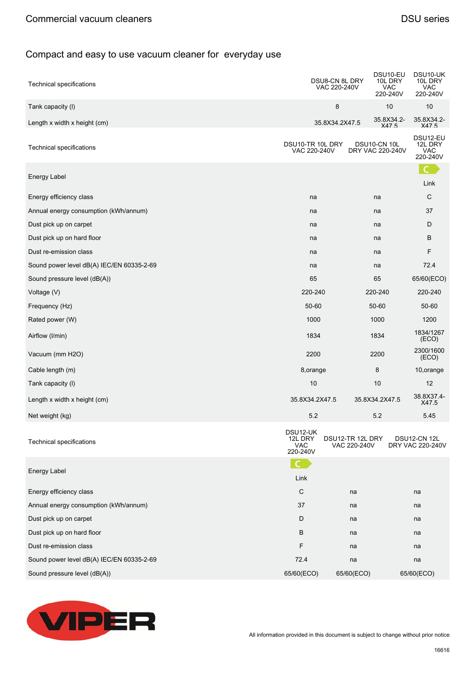| Technical specifications                  |                                               | DSU8-CN 8L DRY<br>VAC 220-240V   | DSU <sub>10</sub> -EU<br>10L DRY<br>VAC<br>220-240V | DSU10-UK<br>10L DRY<br>VAC<br>220-240V |
|-------------------------------------------|-----------------------------------------------|----------------------------------|-----------------------------------------------------|----------------------------------------|
| Tank capacity (I)                         |                                               | 8                                | 10                                                  | 10                                     |
| Length x width x height (cm)              |                                               | 35.8X34.2X47.5                   | 35.8X34.2-<br>X475                                  | 35.8X34.2-<br>X475                     |
| <b>Technical specifications</b>           | DSU10-TR 10L DRY<br>VAC 220-240V              |                                  | DSU10-CN 10L<br>DRY VAC 220-240V                    | DSU12-EU<br>12L DRY<br>VAC<br>220-240V |
| Energy Label                              |                                               |                                  |                                                     | Link                                   |
| Energy efficiency class                   | na                                            |                                  | na                                                  | ${\rm C}$                              |
| Annual energy consumption (kWh/annum)     | na                                            |                                  | na                                                  | 37                                     |
| Dust pick up on carpet                    | na                                            |                                  | na                                                  | D                                      |
| Dust pick up on hard floor                | na                                            |                                  | na                                                  | B                                      |
| Dust re-emission class                    | na                                            |                                  | na                                                  | F                                      |
| Sound power level dB(A) IEC/EN 60335-2-69 | na                                            |                                  | na                                                  | 72.4                                   |
| Sound pressure level (dB(A))              | 65                                            |                                  | 65                                                  | 65/60(ECO)                             |
| Voltage (V)                               | 220-240                                       |                                  | 220-240                                             | 220-240                                |
| Frequency (Hz)                            | 50-60                                         |                                  | 50-60                                               | 50-60                                  |
| Rated power (W)                           | 1000                                          |                                  | 1000                                                | 1200                                   |
| Airflow (I/min)                           | 1834                                          |                                  | 1834                                                | 1834/1267<br>(ECO)                     |
| Vacuum (mm H2O)                           | 2200                                          |                                  | 2200                                                | 2300/1600<br>(ECO)                     |
| Cable length (m)                          | 8, orange                                     |                                  | 8                                                   | 10, orange                             |
| Tank capacity (I)                         | 10                                            |                                  | 10                                                  | 12                                     |
| Length x width x height (cm)              | 35.8X34.2X47.5                                |                                  | 35.8X34.2X47.5                                      | 38.8X37.4-<br>X47.5                    |
| Net weight (kg)                           | 5.2                                           |                                  | 5.2                                                 | 5.45                                   |
| <b>Technical specifications</b>           | DSU12-UK<br>12L DRY<br><b>VAC</b><br>220-240V | DSU12-TR 12L DRY<br>VAC 220-240V |                                                     | DSU12-CN 12L<br>DRY VAC 220-240V       |
|                                           | $\mathsf{C}$                                  |                                  |                                                     |                                        |
| Energy Label                              | Link                                          |                                  |                                                     |                                        |
| Energy efficiency class                   | C                                             | na                               |                                                     | na                                     |
| Annual energy consumption (kWh/annum)     | 37                                            | na                               |                                                     | na                                     |
| Dust pick up on carpet                    | D                                             | na                               |                                                     | na                                     |
| Dust pick up on hard floor                | В                                             | na                               |                                                     | na                                     |
| Dust re-emission class                    | F                                             | na                               |                                                     | na                                     |
| Sound power level dB(A) IEC/EN 60335-2-69 | 72.4                                          | na                               |                                                     | na                                     |
| Sound pressure level (dB(A))              | 65/60(ECO)                                    | 65/60(ECO)                       |                                                     | 65/60(ECO)                             |

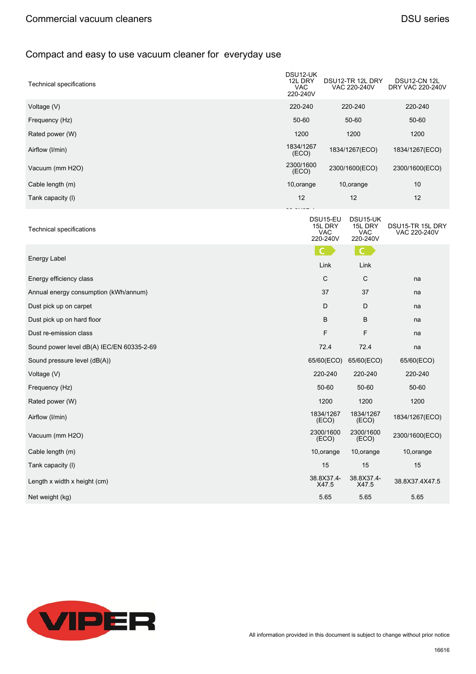| Technical specifications                  | DSU12-UK<br>12L DRY<br>VAC<br>220-240V |                                        | DSU12-TR 12L DRY<br>VAC 220-240V       | DSU12-CN 12L<br>DRY VAC 220-240V |
|-------------------------------------------|----------------------------------------|----------------------------------------|----------------------------------------|----------------------------------|
| Voltage (V)                               | 220-240                                |                                        | 220-240                                | 220-240                          |
| Frequency (Hz)                            | 50-60                                  |                                        | 50-60                                  | 50-60                            |
| Rated power (W)                           | 1200                                   |                                        | 1200                                   | 1200                             |
| Airflow (I/min)                           | 1834/1267<br>(ECO)                     |                                        | 1834/1267(ECO)                         | 1834/1267(ECO)                   |
| Vacuum (mm H2O)                           | 2300/1600<br>(ECO)                     |                                        | 2300/1600(ECO)                         | 2300/1600(ECO)                   |
| Cable length (m)                          | 10, orange                             |                                        | 10, orange                             | 10                               |
| Tank capacity (I)                         | 12                                     |                                        | 12                                     | 12                               |
| <b>Technical specifications</b>           |                                        | DSU15-EU<br>15L DRY<br>VAC<br>220-240V | DSU15-UK<br>15L DRY<br>VAC<br>220-240V | DSU15-TR 15L DRY<br>VAC 220-240V |
|                                           |                                        | $\mathcal{C}$                          | $\mathsf{C}$                           |                                  |
| Energy Label                              |                                        | Link                                   | Link                                   |                                  |
| Energy efficiency class                   |                                        | $\mathsf{C}$                           | С                                      | na                               |
| Annual energy consumption (kWh/annum)     |                                        | 37                                     | 37                                     | na                               |
| Dust pick up on carpet                    |                                        | D                                      | D                                      | na                               |
| Dust pick up on hard floor                |                                        | В                                      | B                                      | na                               |
| Dust re-emission class                    |                                        | F                                      | F                                      | na                               |
| Sound power level dB(A) IEC/EN 60335-2-69 |                                        | 72.4                                   | 72.4                                   | na                               |
| Sound pressure level (dB(A))              |                                        | 65/60(ECO)                             | 65/60(ECO)                             | 65/60(ECO)                       |
| Voltage (V)                               |                                        | 220-240                                | 220-240                                | 220-240                          |
| Frequency (Hz)                            |                                        | 50-60                                  | 50-60                                  | 50-60                            |
| Rated power (W)                           |                                        | 1200                                   | 1200                                   | 1200                             |
| Airflow (I/min)                           |                                        | 1834/1267<br>(ECO)                     | 1834/1267<br>(ECO)                     | 1834/1267(ECO)                   |
| Vacuum (mm H2O)                           |                                        | (ECO)                                  | 2300/1600 2300/1600<br>(ECO)           | 2300/1600(ECO)                   |
| Cable length (m)                          |                                        | 10, orange                             | 10, orange                             | 10, orange                       |
| Tank capacity (I)                         |                                        | 15                                     | 15                                     | 15                               |
| Length x width x height (cm)              |                                        | 38.8X37.4-<br>X47.5                    | 38.8X37.4-<br>X47.5                    | 38.8X37.4X47.5                   |
| Net weight (kg)                           |                                        | 5.65                                   | 5.65                                   | 5.65                             |

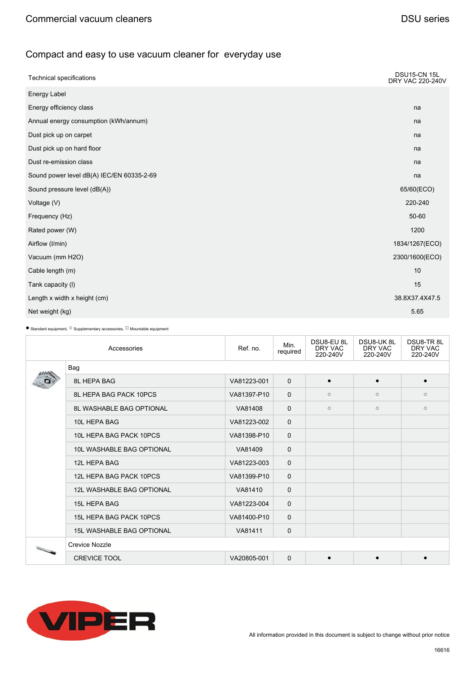| <b>Technical specifications</b>           | <b>DSU15-CN 15L</b><br><b>DRY VAC 220-240V</b> |
|-------------------------------------------|------------------------------------------------|
| Energy Label                              |                                                |
| Energy efficiency class                   | na                                             |
| Annual energy consumption (kWh/annum)     | na                                             |
| Dust pick up on carpet                    | na                                             |
| Dust pick up on hard floor                | na                                             |
| Dust re-emission class                    | na                                             |
| Sound power level dB(A) IEC/EN 60335-2-69 | na                                             |
| Sound pressure level (dB(A))              | 65/60(ECO)                                     |
| Voltage (V)                               | 220-240                                        |
| Frequency (Hz)                            | 50-60                                          |
| Rated power (W)                           | 1200                                           |
| Airflow (I/min)                           | 1834/1267(ECO)                                 |
| Vacuum (mm H2O)                           | 2300/1600(ECO)                                 |
| Cable length (m)                          | 10                                             |
| Tank capacity (I)                         | 15                                             |
| Length x width x height (cm)              | 38.8X37.4X47.5                                 |
| Net weight (kg)                           | 5.65                                           |

|                                                                                                | Accessories                      | Ref. no.    | Min.<br>required | DSU8-EU 8L<br>DRY VAC<br>220-240V | <b>DSU8-UK8L</b><br>DRY VAC<br>220-240V | DSU8-TR8L<br>DRY VAC<br>220-240V |
|------------------------------------------------------------------------------------------------|----------------------------------|-------------|------------------|-----------------------------------|-----------------------------------------|----------------------------------|
|                                                                                                | Bag                              |             |                  |                                   |                                         |                                  |
|                                                                                                | <b>8L HEPA BAG</b>               | VA81223-001 | $\mathbf{0}$     | $\epsilon$                        |                                         | $\bullet$                        |
|                                                                                                | 8L HEPA BAG PACK 10PCS           | VA81397-P10 | $\Omega$         | $\circ$                           | $\circ$                                 | $\circ$                          |
|                                                                                                | <b>8L WASHABLE BAG OPTIONAL</b>  | VA81408     | $\mathbf{0}$     | $\circ$                           | $\circ$                                 | $\circ$                          |
|                                                                                                | 10L HEPA BAG                     | VA81223-002 | $\mathbf{0}$     |                                   |                                         |                                  |
|                                                                                                | 10L HEPA BAG PACK 10PCS          | VA81398-P10 | $\Omega$         |                                   |                                         |                                  |
|                                                                                                | <b>10L WASHABLE BAG OPTIONAL</b> | VA81409     | $\mathbf{0}$     |                                   |                                         |                                  |
|                                                                                                | 12L HEPA BAG                     | VA81223-003 | $\mathbf{0}$     |                                   |                                         |                                  |
|                                                                                                | 12L HEPA BAG PACK 10PCS          | VA81399-P10 | $\mathbf 0$      |                                   |                                         |                                  |
|                                                                                                | <b>12L WASHABLE BAG OPTIONAL</b> | VA81410     | $\mathbf{0}$     |                                   |                                         |                                  |
|                                                                                                | <b>15L HEPA BAG</b>              | VA81223-004 | $\mathbf 0$      |                                   |                                         |                                  |
|                                                                                                | 15L HEPA BAG PACK 10PCS          | VA81400-P10 | $\mathbf 0$      |                                   |                                         |                                  |
|                                                                                                | <b>15L WASHABLE BAG OPTIONAL</b> | VA81411     | $\mathbf 0$      |                                   |                                         |                                  |
| $\frac{\partial^2 f(x)}{\partial x^2} = \frac{1}{2\pi i} \frac{\partial^2 f(x)}{\partial x^2}$ | <b>Crevice Nozzle</b>            |             |                  |                                   |                                         |                                  |
|                                                                                                | <b>CREVICE TOOL</b>              | VA20805-001 | $\Omega$         | $\epsilon$                        |                                         |                                  |

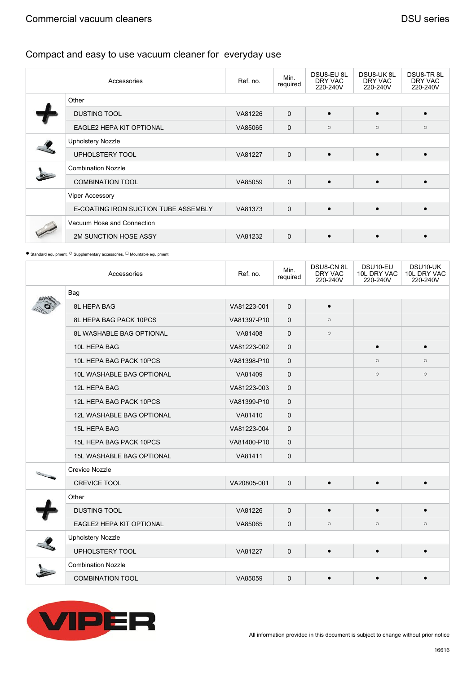| Accessories                          | Ref. no. | Min.<br>required | DSU8-EU 8L<br>DRY VAC<br>220-240V | DSU8-UK8L<br>DRY VAC<br>220-240V | DSU8-TR8L<br>DRY VAC<br>220-240V |
|--------------------------------------|----------|------------------|-----------------------------------|----------------------------------|----------------------------------|
| Other                                |          |                  |                                   |                                  |                                  |
| <b>DUSTING TOOL</b>                  | VA81226  | $\mathbf 0$      | $\bullet$                         |                                  | $\bullet$                        |
| <b>EAGLE2 HEPA KIT OPTIONAL</b>      | VA85065  | $\mathbf 0$      | $\circ$                           | $\circ$                          | $\circ$                          |
| <b>Upholstery Nozzle</b>             |          |                  |                                   |                                  |                                  |
| UPHOLSTERY TOOL                      | VA81227  | $\mathbf 0$      | $\bullet$                         |                                  |                                  |
| <b>Combination Nozzle</b>            |          |                  |                                   |                                  |                                  |
| <b>COMBINATION TOOL</b>              | VA85059  | $\mathbf 0$      | $\bullet$                         |                                  | $\bullet$                        |
| Viper Accessory                      |          |                  |                                   |                                  |                                  |
| E-COATING IRON SUCTION TUBE ASSEMBLY | VA81373  | $\mathbf 0$      | $\bullet$                         | $\bullet$                        | $\bullet$                        |
| Vacuum Hose and Connection           |          |                  |                                   |                                  |                                  |
| 2M SUNCTION HOSE ASSY                | VA81232  | $\mathbf 0$      | $\bullet$                         |                                  |                                  |

| Accessories                      | Ref. no.    | Min.<br>required | DSU8-CN 8L<br>DRY VAC<br>220-240V | DSU10-EU<br>10L DRY VAC<br>220-240V | DSU10-UK<br>10L DRY VAC<br>220-240V |
|----------------------------------|-------------|------------------|-----------------------------------|-------------------------------------|-------------------------------------|
| Bag                              |             |                  |                                   |                                     |                                     |
| 8L HEPA BAG                      | VA81223-001 | $\mathbf{0}$     | $\bullet$                         |                                     |                                     |
| 8L HEPA BAG PACK 10PCS           | VA81397-P10 | $\mathbf{0}$     | $\circ$                           |                                     |                                     |
| <b>8L WASHABLE BAG OPTIONAL</b>  | VA81408     | $\mathbf{0}$     | $\circ$                           |                                     |                                     |
| 10L HEPA BAG                     | VA81223-002 | $\mathbf{0}$     |                                   |                                     | $\bullet$                           |
| 10L HEPA BAG PACK 10PCS          | VA81398-P10 | 0                |                                   | $\circ$                             | $\circ$                             |
| 10L WASHABLE BAG OPTIONAL        | VA81409     | 0                |                                   | $\circ$                             | $\circ$                             |
| 12L HEPA BAG                     | VA81223-003 | $\mathbf{0}$     |                                   |                                     |                                     |
| 12L HEPA BAG PACK 10PCS          | VA81399-P10 | $\mathbf{0}$     |                                   |                                     |                                     |
| <b>12L WASHABLE BAG OPTIONAL</b> | VA81410     | $\mathbf{0}$     |                                   |                                     |                                     |
| <b>15L HEPA BAG</b>              | VA81223-004 | $\mathbf{0}$     |                                   |                                     |                                     |
| 15L HEPA BAG PACK 10PCS          | VA81400-P10 | $\Omega$         |                                   |                                     |                                     |
| <b>15L WASHABLE BAG OPTIONAL</b> | VA81411     | $\mathbf{0}$     |                                   |                                     |                                     |
| <b>Crevice Nozzle</b>            |             |                  |                                   |                                     |                                     |
| <b>CREVICE TOOL</b>              | VA20805-001 | $\mathbf 0$      | $\bullet$                         |                                     |                                     |
| Other                            |             |                  |                                   |                                     |                                     |
| <b>DUSTING TOOL</b>              | VA81226     | $\mathbf{0}$     | $\bullet$                         |                                     | $\bullet$                           |
| EAGLE2 HEPA KIT OPTIONAL         | VA85065     | 0                | $\circ$                           | $\circ$                             | $\circ$                             |
| <b>Upholstery Nozzle</b>         |             |                  |                                   |                                     |                                     |
| UPHOLSTERY TOOL                  | VA81227     | 0                | $\bullet$                         | $\bullet$                           |                                     |
| <b>Combination Nozzle</b>        |             |                  |                                   |                                     |                                     |
| <b>COMBINATION TOOL</b>          | VA85059     | $\mathbf{0}$     | $\bullet$                         |                                     |                                     |

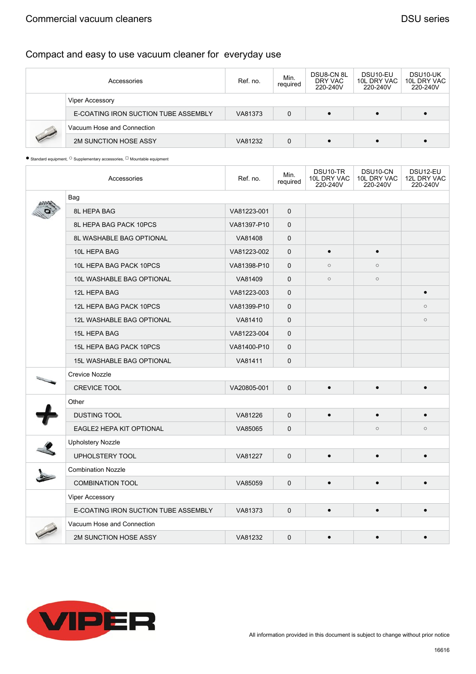#### Commercial vacuum cleaners **DSU** series

# Compact and easy to use vacuum cleaner for everyday use

| Accessories                          | Ref. no. | Min.<br>required | <b>DSU8-CN 8L</b><br>DRY VAC<br>220-240V | DSU <sub>10</sub> -EU<br>10L DRY VAC<br>220-240V | DSU <sub>10</sub> -UK<br>10L DRY VAC<br>220-240V |  |  |
|--------------------------------------|----------|------------------|------------------------------------------|--------------------------------------------------|--------------------------------------------------|--|--|
| Viper Accessory                      |          |                  |                                          |                                                  |                                                  |  |  |
| E-COATING IRON SUCTION TUBE ASSEMBLY | VA81373  | 0                | $\bullet$                                |                                                  |                                                  |  |  |
| Vacuum Hose and Connection           |          |                  |                                          |                                                  |                                                  |  |  |
| 2M SUNCTION HOSE ASSY                | VA81232  | 0                |                                          |                                                  |                                                  |  |  |

|                                                                                                | Accessories                          | Ref. no.    | Min.<br>required | DSU10-TR<br>10L DRY VAC<br>220-240V | DSU10-CN<br>10L DRY VAC<br>220-240V | DSU12-EU<br>12L DRY VAC<br>220-240V |  |  |  |
|------------------------------------------------------------------------------------------------|--------------------------------------|-------------|------------------|-------------------------------------|-------------------------------------|-------------------------------------|--|--|--|
|                                                                                                | Bag                                  |             |                  |                                     |                                     |                                     |  |  |  |
|                                                                                                | 8L HEPA BAG                          | VA81223-001 | $\mathbf{0}$     |                                     |                                     |                                     |  |  |  |
|                                                                                                | 8L HEPA BAG PACK 10PCS               | VA81397-P10 | $\mathbf{0}$     |                                     |                                     |                                     |  |  |  |
|                                                                                                | <b>8L WASHABLE BAG OPTIONAL</b>      | VA81408     | 0                |                                     |                                     |                                     |  |  |  |
|                                                                                                | 10L HEPA BAG                         | VA81223-002 | $\Omega$         | $\bullet$                           |                                     |                                     |  |  |  |
|                                                                                                | 10L HEPA BAG PACK 10PCS              | VA81398-P10 | $\mathbf 0$      | $\circ$                             | $\circ$                             |                                     |  |  |  |
|                                                                                                | 10L WASHABLE BAG OPTIONAL            | VA81409     | 0                | $\circ$                             | $\circ$                             |                                     |  |  |  |
|                                                                                                | 12L HEPA BAG                         | VA81223-003 | $\mathbf{0}$     |                                     |                                     | $\bullet$                           |  |  |  |
|                                                                                                | 12L HEPA BAG PACK 10PCS              | VA81399-P10 | $\mathbf{0}$     |                                     |                                     | $\circ$                             |  |  |  |
|                                                                                                | <b>12L WASHABLE BAG OPTIONAL</b>     | VA81410     | 0                |                                     |                                     | $\circ$                             |  |  |  |
|                                                                                                | 15L HEPA BAG                         | VA81223-004 | 0                |                                     |                                     |                                     |  |  |  |
|                                                                                                | 15L HEPA BAG PACK 10PCS              | VA81400-P10 | $\Omega$         |                                     |                                     |                                     |  |  |  |
|                                                                                                | <b>15L WASHABLE BAG OPTIONAL</b>     | VA81411     | 0                |                                     |                                     |                                     |  |  |  |
| $\frac{\partial^2 f(x)}{\partial x^2} = \frac{1}{2\pi i} \frac{\partial^2 f(x)}{\partial x^2}$ | Crevice Nozzle                       |             |                  |                                     |                                     |                                     |  |  |  |
|                                                                                                | <b>CREVICE TOOL</b>                  | VA20805-001 | 0                | $\bullet$                           | $\bullet$                           | $\bullet$                           |  |  |  |
|                                                                                                | Other                                |             |                  |                                     |                                     |                                     |  |  |  |
|                                                                                                | <b>DUSTING TOOL</b>                  | VA81226     | $\mathbf 0$      | $\bullet$                           |                                     | $\bullet$                           |  |  |  |
|                                                                                                | EAGLE2 HEPA KIT OPTIONAL             | VA85065     | $\mathbf 0$      |                                     | $\circ$                             | $\circ$                             |  |  |  |
|                                                                                                | <b>Upholstery Nozzle</b>             |             |                  |                                     |                                     |                                     |  |  |  |
|                                                                                                | UPHOLSTERY TOOL                      | VA81227     | $\mathbf 0$      |                                     |                                     |                                     |  |  |  |
|                                                                                                | <b>Combination Nozzle</b>            |             |                  |                                     |                                     |                                     |  |  |  |
|                                                                                                | <b>COMBINATION TOOL</b>              | VA85059     | $\mathbf{0}$     | $\bullet$                           | $\bullet$                           | $\bullet$                           |  |  |  |
|                                                                                                | <b>Viper Accessory</b>               |             |                  |                                     |                                     |                                     |  |  |  |
|                                                                                                | E-COATING IRON SUCTION TUBE ASSEMBLY | VA81373     | 0                | $\bullet$                           | $\bullet$                           | $\bullet$                           |  |  |  |
|                                                                                                | Vacuum Hose and Connection           |             |                  |                                     |                                     |                                     |  |  |  |
|                                                                                                | 2M SUNCTION HOSE ASSY                | VA81232     | 0                | $\bullet$                           |                                     |                                     |  |  |  |

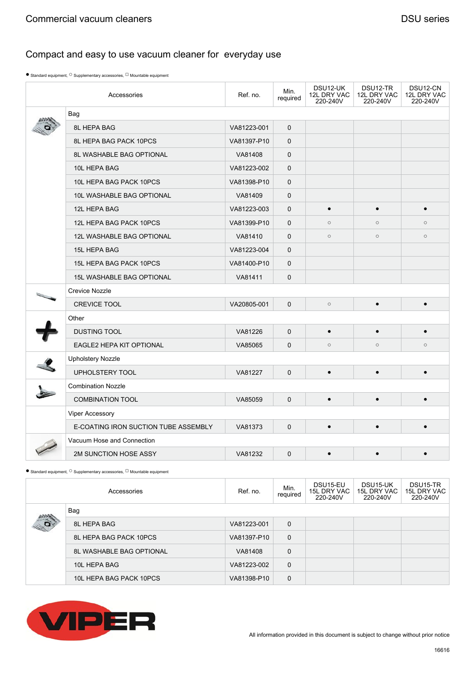$\bullet$  Standard equipment,  $\circ$  Supplementary accessories,  $\Box$  Mountable equipment

| Accessories                                                                                                                    |                                      | Ref. no.    | Min.<br>required | DSU12-UK<br>12L DRY VAC<br>220-240V | DSU12-TR<br>12L DRY VAC<br>220-240V | DSU12-CN<br>12L DRY VAC<br>220-240V |  |  |
|--------------------------------------------------------------------------------------------------------------------------------|--------------------------------------|-------------|------------------|-------------------------------------|-------------------------------------|-------------------------------------|--|--|
|                                                                                                                                | Bag                                  |             |                  |                                     |                                     |                                     |  |  |
|                                                                                                                                | 8L HEPA BAG                          | VA81223-001 | 0                |                                     |                                     |                                     |  |  |
|                                                                                                                                | 8L HEPA BAG PACK 10PCS               | VA81397-P10 | 0                |                                     |                                     |                                     |  |  |
|                                                                                                                                | <b>8L WASHABLE BAG OPTIONAL</b>      | VA81408     | $\mathbf 0$      |                                     |                                     |                                     |  |  |
|                                                                                                                                | 10L HEPA BAG                         | VA81223-002 | $\mathbf 0$      |                                     |                                     |                                     |  |  |
|                                                                                                                                | 10L HEPA BAG PACK 10PCS              | VA81398-P10 | 0                |                                     |                                     |                                     |  |  |
|                                                                                                                                | 10L WASHABLE BAG OPTIONAL            | VA81409     | 0                |                                     |                                     |                                     |  |  |
|                                                                                                                                | 12L HEPA BAG                         | VA81223-003 | $\mathbf 0$      | $\bullet$                           |                                     | $\bullet$                           |  |  |
|                                                                                                                                | 12L HEPA BAG PACK 10PCS              | VA81399-P10 | $\mathbf 0$      | $\circ$                             | $\circ$                             | $\circ$                             |  |  |
|                                                                                                                                | <b>12L WASHABLE BAG OPTIONAL</b>     | VA81410     | 0                | $\circ$                             | $\circ$                             | $\circ$                             |  |  |
|                                                                                                                                | 15L HEPA BAG                         | VA81223-004 | $\mathbf 0$      |                                     |                                     |                                     |  |  |
|                                                                                                                                | 15L HEPA BAG PACK 10PCS              | VA81400-P10 | $\mathbf 0$      |                                     |                                     |                                     |  |  |
|                                                                                                                                | <b>15L WASHABLE BAG OPTIONAL</b>     | VA81411     | 0                |                                     |                                     |                                     |  |  |
| $\label{eq:2.1} \begin{array}{c} \mathcal{L}(\mathcal{E}_{\mathcal{E}}) \\ \mathcal{L}(\mathcal{E}_{\mathcal{E}}) \end{array}$ | <b>Crevice Nozzle</b>                |             |                  |                                     |                                     |                                     |  |  |
|                                                                                                                                | CREVICE TOOL                         | VA20805-001 | 0                | $\circ$                             | $\bullet$                           | $\bullet$                           |  |  |
|                                                                                                                                | Other                                |             |                  |                                     |                                     |                                     |  |  |
|                                                                                                                                | <b>DUSTING TOOL</b>                  | VA81226     | $\Omega$         | $\bullet$                           |                                     | $\bullet$                           |  |  |
|                                                                                                                                | EAGLE2 HEPA KIT OPTIONAL             | VA85065     | $\mathbf 0$      | $\circ$                             | $\circ$                             | $\circ$                             |  |  |
|                                                                                                                                | Upholstery Nozzle                    |             |                  |                                     |                                     |                                     |  |  |
|                                                                                                                                | <b>UPHOLSTERY TOOL</b>               | VA81227     | $\Omega$         |                                     |                                     |                                     |  |  |
|                                                                                                                                | <b>Combination Nozzle</b>            |             |                  |                                     |                                     |                                     |  |  |
|                                                                                                                                | <b>COMBINATION TOOL</b>              | VA85059     | 0                | $\bullet$                           | $\bullet$                           | $\bullet$                           |  |  |
|                                                                                                                                | Viper Accessory                      |             |                  |                                     |                                     |                                     |  |  |
|                                                                                                                                | E-COATING IRON SUCTION TUBE ASSEMBLY | VA81373     | 0                | $\bullet$                           | $\bullet$                           | $\bullet$                           |  |  |
|                                                                                                                                | Vacuum Hose and Connection           |             |                  |                                     |                                     |                                     |  |  |
|                                                                                                                                | 2M SUNCTION HOSE ASSY                | VA81232     | $\mathbf 0$      |                                     |                                     |                                     |  |  |

| Accessories  |                                 | Ref. no.    | Min.<br>required | DSU15-EU<br>15L DRY VAC<br>220-240V | DSU15-UK<br>15L DRY VAC<br>220-240V | DSU15-TR<br>15L DRY VAC<br>220-240V |
|--------------|---------------------------------|-------------|------------------|-------------------------------------|-------------------------------------|-------------------------------------|
|              | Bag                             |             |                  |                                     |                                     |                                     |
| $\mathbf{p}$ | 8L HEPA BAG                     | VA81223-001 | $\mathbf 0$      |                                     |                                     |                                     |
|              | 8L HEPA BAG PACK 10PCS          | VA81397-P10 | $\mathbf 0$      |                                     |                                     |                                     |
|              | <b>8L WASHABLE BAG OPTIONAL</b> | VA81408     | 0                |                                     |                                     |                                     |
|              | 10L HEPA BAG                    | VA81223-002 | $\mathbf 0$      |                                     |                                     |                                     |
|              | 10L HEPA BAG PACK 10PCS         | VA81398-P10 | 0                |                                     |                                     |                                     |

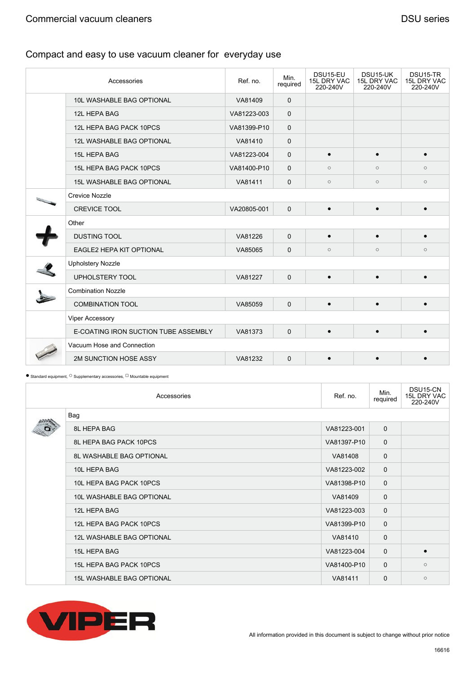| Accessories                          | Ref. no.    | Min.<br>required | DSU15-EU<br><b>15L DRY VAC</b><br>220-240V | DSU15-UK<br>15L DRY VAC<br>220-240V | DSU15-TR<br>15L DRY VAC<br>220-240V |  |  |
|--------------------------------------|-------------|------------------|--------------------------------------------|-------------------------------------|-------------------------------------|--|--|
| 10L WASHABLE BAG OPTIONAL            | VA81409     | 0                |                                            |                                     |                                     |  |  |
| 12L HEPA BAG                         | VA81223-003 | $\mathbf 0$      |                                            |                                     |                                     |  |  |
| 12L HEPA BAG PACK 10PCS              | VA81399-P10 | 0                |                                            |                                     |                                     |  |  |
| <b>12L WASHABLE BAG OPTIONAL</b>     | VA81410     | 0                |                                            |                                     |                                     |  |  |
| 15L HEPA BAG                         | VA81223-004 | $\mathbf 0$      | $\bullet$                                  | $\bullet$                           | $\bullet$                           |  |  |
| 15L HEPA BAG PACK 10PCS              | VA81400-P10 | $\mathbf 0$      | $\circ$                                    | $\circ$                             | $\circ$                             |  |  |
| <b>15L WASHABLE BAG OPTIONAL</b>     | VA81411     | $\mathbf 0$      | $\circ$                                    | $\circ$                             | $\circ$                             |  |  |
| <b>Crevice Nozzle</b>                |             |                  |                                            |                                     |                                     |  |  |
| <b>CREVICE TOOL</b>                  | VA20805-001 | $\mathbf 0$      | $\bullet$                                  |                                     | $\bullet$                           |  |  |
| Other                                |             |                  |                                            |                                     |                                     |  |  |
| <b>DUSTING TOOL</b>                  | VA81226     | $\mathbf 0$      | $\bullet$                                  | $\bullet$                           | $\bullet$                           |  |  |
| <b>EAGLE2 HEPA KIT OPTIONAL</b>      | VA85065     | $\mathbf 0$      | $\circ$                                    | $\circ$                             | $\circ$                             |  |  |
| <b>Upholstery Nozzle</b>             |             |                  |                                            |                                     |                                     |  |  |
| UPHOLSTERY TOOL                      | VA81227     | $\mathbf 0$      | $\bullet$                                  | $\bullet$                           | $\bullet$                           |  |  |
| <b>Combination Nozzle</b>            |             |                  |                                            |                                     |                                     |  |  |
| <b>COMBINATION TOOL</b>              | VA85059     | 0                | $\bullet$                                  | $\bullet$                           | $\bullet$                           |  |  |
| <b>Viper Accessory</b>               |             |                  |                                            |                                     |                                     |  |  |
| E-COATING IRON SUCTION TUBE ASSEMBLY | VA81373     | 0                | $\bullet$                                  | $\bullet$                           | $\bullet$                           |  |  |
| Vacuum Hose and Connection           |             |                  |                                            |                                     |                                     |  |  |
| 2M SUNCTION HOSE ASSY                | VA81232     | $\mathbf 0$      | $\bullet$                                  | $\bullet$                           | $\bullet$                           |  |  |

| Accessories                      | Ref. no.    | Min.<br>required | DSU15-CN<br>15L DRY VAC<br>220-240V |
|----------------------------------|-------------|------------------|-------------------------------------|
| Bag                              |             |                  |                                     |
| 8L HEPA BAG                      | VA81223-001 | $\mathbf 0$      |                                     |
| 8L HEPA BAG PACK 10PCS           | VA81397-P10 | $\mathbf 0$      |                                     |
| 8L WASHABLE BAG OPTIONAL         | VA81408     | $\mathbf 0$      |                                     |
| 10L HEPA BAG                     | VA81223-002 | $\mathbf 0$      |                                     |
| 10L HEPA BAG PACK 10PCS          | VA81398-P10 | $\mathbf 0$      |                                     |
| 10L WASHABLE BAG OPTIONAL        | VA81409     | $\mathbf 0$      |                                     |
| 12L HEPA BAG                     | VA81223-003 | $\mathbf 0$      |                                     |
| 12L HEPA BAG PACK 10PCS          | VA81399-P10 | $\mathbf 0$      |                                     |
| 12L WASHABLE BAG OPTIONAL        | VA81410     | $\Omega$         |                                     |
| 15L HEPA BAG                     | VA81223-004 | $\mathbf 0$      | $\bullet$                           |
| 15L HEPA BAG PACK 10PCS          | VA81400-P10 | $\Omega$         | $\circ$                             |
| <b>15L WASHABLE BAG OPTIONAL</b> | VA81411     | $\Omega$         | $\circ$                             |